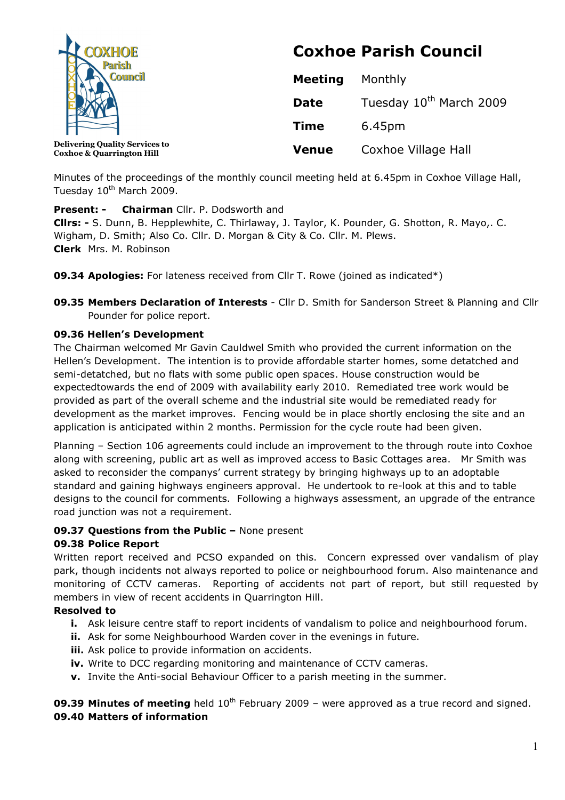

Coxhoe & Quarrington Hill

# Coxhoe Parish Council

| <b>Meeting</b> | Monthly                             |  |
|----------------|-------------------------------------|--|
| <b>Date</b>    | Tuesday 10 <sup>th</sup> March 2009 |  |
| <b>Time</b>    | 6.45pm                              |  |
| <b>Venue</b>   | Coxhoe Village Hall                 |  |

Minutes of the proceedings of the monthly council meeting held at 6.45pm in Coxhoe Village Hall, Tuesday 10<sup>th</sup> March 2009.

## **Present: - Chairman** Cllr. P. Dodsworth and

Cllrs: - S. Dunn, B. Hepplewhite, C. Thirlaway, J. Taylor, K. Pounder, G. Shotton, R. Mayo,. C. Wigham, D. Smith; Also Co. Cllr. D. Morgan & City & Co. Cllr. M. Plews. Clerk Mrs. M. Robinson

09.34 Apologies: For lateness received from Cllr T. Rowe (joined as indicated\*)

**09.35 Members Declaration of Interests** - Cllr D. Smith for Sanderson Street & Planning and Cllr Pounder for police report.

## 09.36 Hellen's Development

The Chairman welcomed Mr Gavin Cauldwel Smith who provided the current information on the Hellen's Development. The intention is to provide affordable starter homes, some detatched and semi-detatched, but no flats with some public open spaces. House construction would be expectedtowards the end of 2009 with availability early 2010. Remediated tree work would be provided as part of the overall scheme and the industrial site would be remediated ready for development as the market improves. Fencing would be in place shortly enclosing the site and an application is anticipated within 2 months. Permission for the cycle route had been given.

Planning – Section 106 agreements could include an improvement to the through route into Coxhoe along with screening, public art as well as improved access to Basic Cottages area. Mr Smith was asked to reconsider the companys' current strategy by bringing highways up to an adoptable standard and gaining highways engineers approval. He undertook to re-look at this and to table designs to the council for comments. Following a highways assessment, an upgrade of the entrance road junction was not a requirement.

# 09.37 Questions from the Public – None present

# 09.38 Police Report

Written report received and PCSO expanded on this. Concern expressed over vandalism of play park, though incidents not always reported to police or neighbourhood forum. Also maintenance and monitoring of CCTV cameras. Reporting of accidents not part of report, but still requested by members in view of recent accidents in Quarrington Hill.

## Resolved to

- i. Ask leisure centre staff to report incidents of vandalism to police and neighbourhood forum.
- ii. Ask for some Neighbourhood Warden cover in the evenings in future.
- **iii.** Ask police to provide information on accidents.
- iv. Write to DCC regarding monitoring and maintenance of CCTV cameras.
- v. Invite the Anti-social Behaviour Officer to a parish meeting in the summer.

09.39 Minutes of meeting held  $10^{th}$  February 2009 – were approved as a true record and signed. 09.40 Matters of information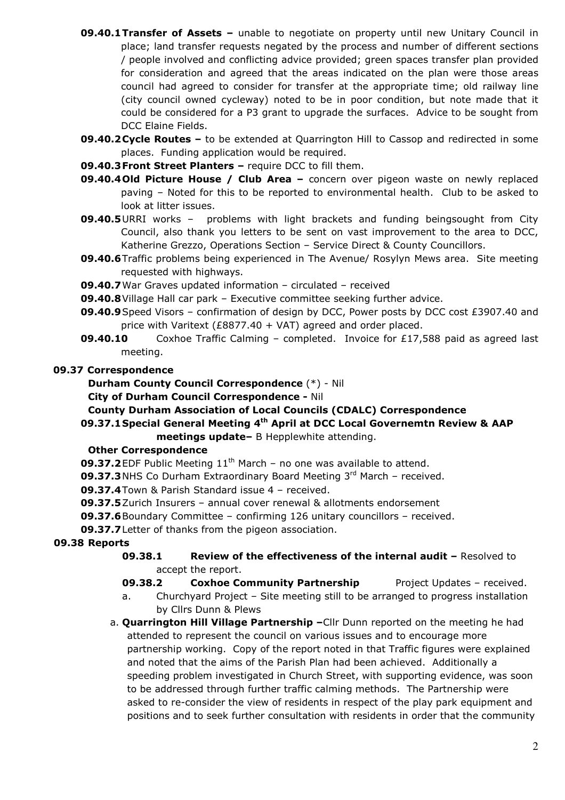- **09.40.1 Transfer of Assets –** unable to negotiate on property until new Unitary Council in place; land transfer requests negated by the process and number of different sections / people involved and conflicting advice provided; green spaces transfer plan provided for consideration and agreed that the areas indicated on the plan were those areas council had agreed to consider for transfer at the appropriate time; old railway line (city council owned cycleway) noted to be in poor condition, but note made that it could be considered for a P3 grant to upgrade the surfaces. Advice to be sought from DCC Elaine Fields.
- 09.40.2 Cycle Routes to be extended at Quarrington Hill to Cassop and redirected in some places. Funding application would be required.
- 09.40.3 Front Street Planters require DCC to fill them.
- 09.40.4Old Picture House / Club Area concern over pigeon waste on newly replaced paving – Noted for this to be reported to environmental health. Club to be asked to look at litter issues.
- **09.40.5** URRI works problems with light brackets and funding beingsought from City Council, also thank you letters to be sent on vast improvement to the area to DCC, Katherine Grezzo, Operations Section – Service Direct & County Councillors.
- **09.40.6** Traffic problems being experienced in The Avenue/ Rosylyn Mews area. Site meeting requested with highways.
- 09.40.7War Graves updated information circulated received
- 09.40.8 Village Hall car park Executive committee seeking further advice.
- 09.40.9 Speed Visors confirmation of design by DCC, Power posts by DCC cost £3907.40 and price with Varitext (£8877.40 + VAT) agreed and order placed.
- **09.40.10** Coxhoe Traffic Calming completed. Invoice for £17,588 paid as agreed last meeting.

#### 09.37 Correspondence

- Durham County Council Correspondence (\*) Nil
- City of Durham Council Correspondence Nil
- County Durham Association of Local Councils (CDALC) Correspondence
- 09.37.1 Special General Meeting 4<sup>th</sup> April at DCC Local Governemtn Review & AAP meetings update– B Hepplewhite attending.

#### Other Correspondence

- **09.37.2** EDF Public Meeting  $11<sup>th</sup>$  March no one was available to attend.
- 09.37.3 NHS Co Durham Extraordinary Board Meeting 3rd March received.
- 09.37.4Town & Parish Standard issue 4 received.
- 09.37.5Zurich Insurers annual cover renewal & allotments endorsement
- 09.37.6 Boundary Committee confirming 126 unitary councillors received.
- 09.37.7 Letter of thanks from the pigeon association.

## 09.38 Reports

- 09.38.1 Review of the effectiveness of the internal audit Resolved to accept the report.
- 09.38.2 Coxhoe Community Partnership Project Updates received.
- a. Churchyard Project Site meeting still to be arranged to progress installation by Cllrs Dunn & Plews
- a. **Quarrington Hill Village Partnership** Cllr Dunn reported on the meeting he had attended to represent the council on various issues and to encourage more partnership working. Copy of the report noted in that Traffic figures were explained and noted that the aims of the Parish Plan had been achieved. Additionally a speeding problem investigated in Church Street, with supporting evidence, was soon to be addressed through further traffic calming methods. The Partnership were asked to re-consider the view of residents in respect of the play park equipment and positions and to seek further consultation with residents in order that the community